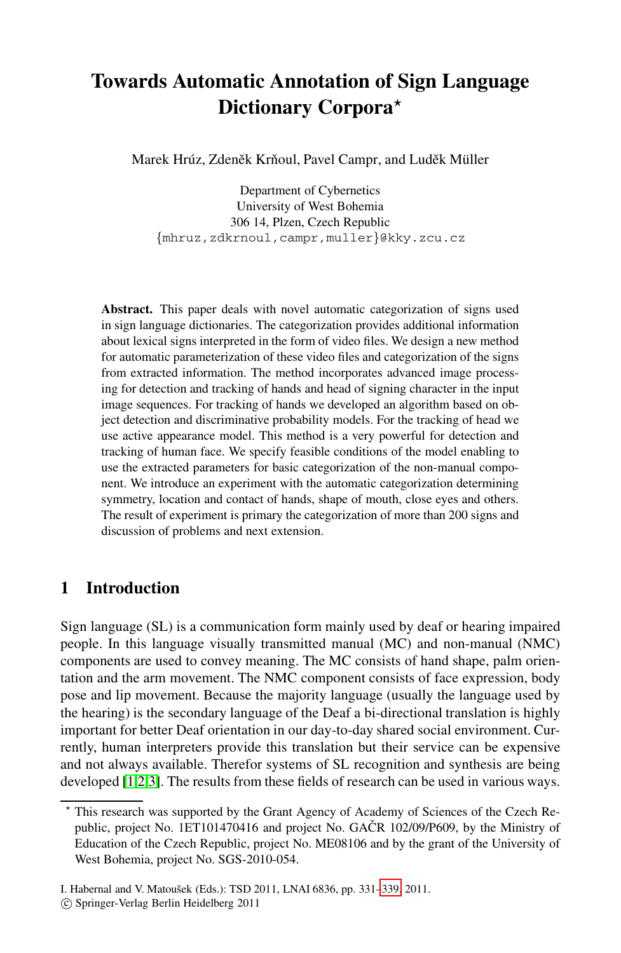# **Towards Automatic Annotation of Sign Language Dictionary Corpora***-*

Marek Hrúz, Zdeněk Krňoul, Pavel Campr, and Luděk Müller

Department of Cybernetics University of West Bohemia 306 14, Plzen, Czech Republic *{*mhruz,zdkrnoul,campr,muller*}*@kky.zcu.cz

**Abstract.** This paper deals with novel automatic categorization of signs used in sign language dictionaries. The categorization provides additional information about lexical signs interpreted in the form of video files. We design a new method for automatic parameterization of these video files and categorization of the signs from extracted information. The method incorporates advanced image processing for detection and tracking of hands and head of signing character in the input image sequences. For tracking of hands we developed an algorithm based on object detection and discriminative probability models. For the tracking of head we use active appearance model. This method is a very powerful for detection and tracking of human face. We specify feasible conditions of the model enabling to use the extracted parameters for basic categorization of the non-manual component. We introduce an experiment with the automatic categorization determining symmetry, location and contact of hands, shape of mouth, close eyes and others. The result of experiment is primary the categorization of more than 200 signs and discussion of problems and next extension.

#### **1 Introduction**

Sign language (SL) is a communication form mainly used by deaf or hearing impaired people. In this language visually transmitted manual (MC) and non-manual (NMC) components are used to convey meaning. The MC consists of hand shape, palm orientation and the arm movement. The NMC component consists of face expression, body pose and lip movement. Because the majority language (usually the language used by the hearing) is the secondary language of the Deaf a bi-directional translation is highly important for better Deaf orientation in our day-to-day shared social environment. Currently, human interpreters provide this translation but their service can be expensive and not always available. Therefor systems of SL recognition and synthesis are being developed [\[1](#page-7-0)[,2,](#page-7-1)[3\]](#page-7-2). The results from these fields of research can be used in various ways.

<sup>-</sup> This research was supported by the Grant Agency of Academy of Sciences of the Czech Republic, project No. 1ET101470416 and project No. GAČR 102/09/P609, by the Ministry of Education of the Czech Republic, project No. ME08106 and by the grant of the University of West Bohemia, project No. SGS-2010-054.

I. Habernal and V. Matou˘sek (Eds.): TSD 2011, LNAI 6836, pp. 331[–339,](#page-8-0) 2011.

<sup>-</sup>c Springer-Verlag Berlin Heidelberg 2011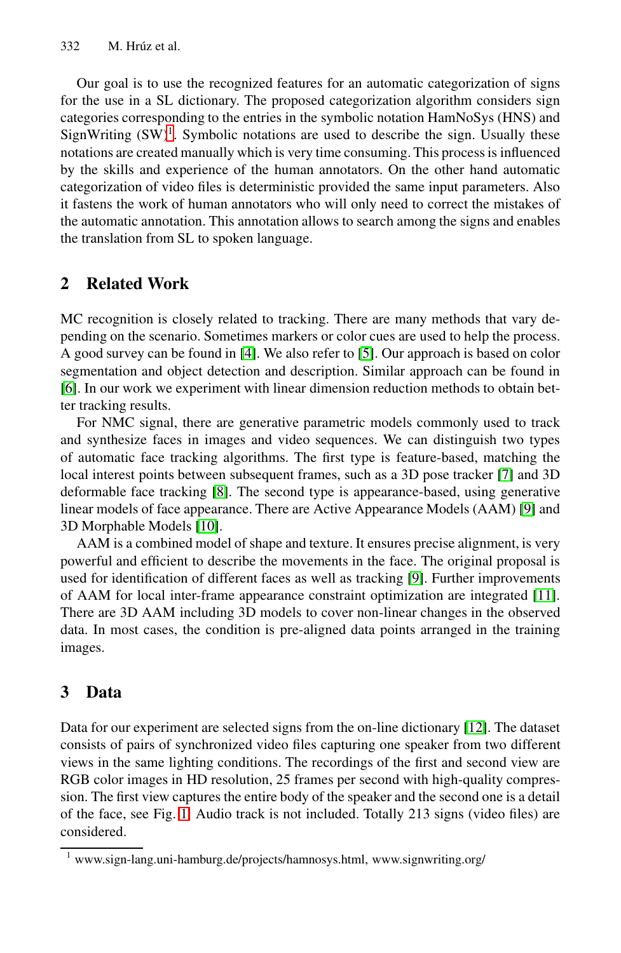Our goal is to use the recognized features for an automatic categorization of signs for the use in a SL dictionary. The proposed categorization algorithm considers sign categories corresponding to the entries in the symbolic notation HamNoSys (HNS) and SignWriting  $(SW)^1$  $(SW)^1$ . Symbolic notations are used to describe the sign. Usually these notations are created manually which is very time consuming. This process is influenced by the skills and experience of the human annotators. On the other hand automatic categorization of video files is deterministic provided the same input parameters. Also it fastens the work of human annotators who will only need to correct the mistakes of the automatic annotation. This annotation allows to search among the signs and enables the translation from SL to spoken language.

### **2 Related Work**

MC recognition is closely related to tracking. There are many methods that vary depending on the scenario. Sometimes markers or color cues are used to help the process. A good survey can be found in [\[4\]](#page-7-3). We also refer to [\[5\]](#page-7-4). Our approach is based on color segmentation and object detection and description. Similar approach can be found in [\[6\]](#page-7-5). In our work we experiment with linear dimension reduction methods to obtain better tracking results.

For NMC signal, there are generative parametric models commonly used to track and synthesize faces in images and video sequences. We can distinguish two types of automatic face tracking algorithms. The first type is feature-based, matching the local interest points between subsequent frames, such as a 3D pose tracker [\[7\]](#page-7-6) and 3D deformable face tracking [\[8\]](#page-8-1). The second type is appearance-based, using generative linear models of face appearance. There are Active Appearance Models (AAM) [\[9\]](#page-8-2) and 3D Morphable Models [\[10\]](#page-8-3).

AAM is a combined model of shape and texture. It ensures precise alignment, is very powerful and efficient to describe the movements in the face. The original proposal is used for identification of different faces as well as tracking [\[9\]](#page-8-2). Further improvements of AAM for local inter-frame appearance constraint optimization are integrated [\[11\]](#page-8-4). There are 3D AAM including 3D models to cover non-linear changes in the observed data. In most cases, the condition is pre-aligned data points arranged in the training images.

### **3 Data**

Data for our experiment are selected signs from the on-line dictionary [\[12\]](#page-8-5). The dataset consists of pairs of synchronized video files capturing one speaker from two different views in the same lighting conditions. The recordings of the first and second view are RGB color images in HD resolution, 25 frames per second with high-quality compression. The first view captures the entire body of the speaker and the second one is a detail of the face, see Fig. [1.](#page-2-0) Audio track is not included. Totally 213 signs (video files) are considered.

<span id="page-1-0"></span><sup>1</sup> www.sign-lang.uni-hamburg.de/projects/hamnosys.html, www.signwriting.org/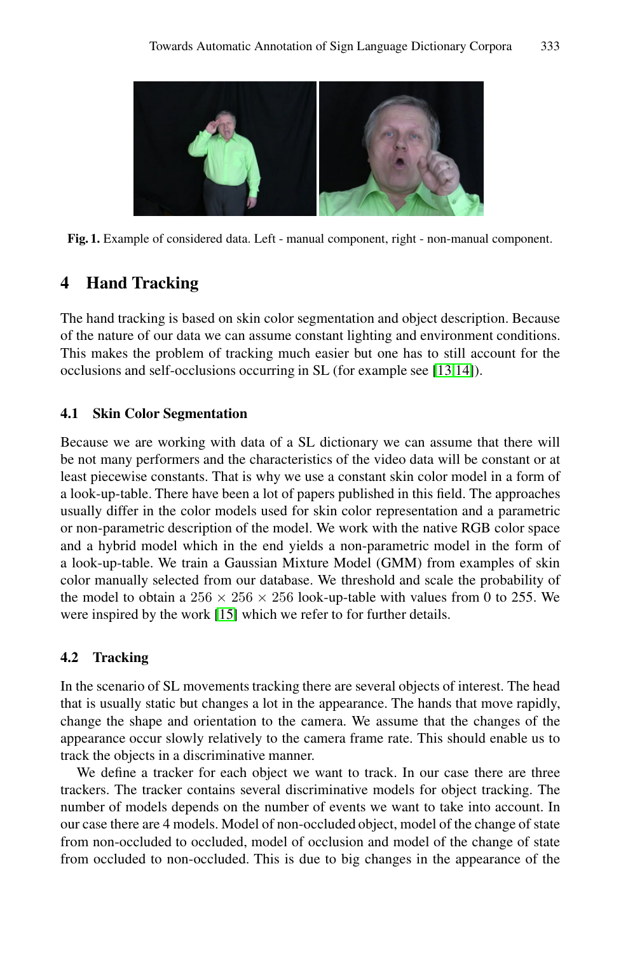

**Fig. 1.** Example of considered data. Left - manual component, right - non-manual component.

### <span id="page-2-0"></span>**4 Hand Tracking**

The hand tracking is based on skin color segmentation and object description. Because of the nature of our data we can assume constant lighting and environment conditions. This makes the problem of tracking much easier but one has to still account for the occlusions and self-occlusions occurring in SL (for example see [\[13,](#page-8-6)[14\]](#page-8-7)).

#### **4.1 Skin Color Segmentation**

Because we are working with data of a SL dictionary we can assume that there will be not many performers and the characteristics of the video data will be constant or at least piecewise constants. That is why we use a constant skin color model in a form of a look-up-table. There have been a lot of papers published in this field. The approaches usually differ in the color models used for skin color representation and a parametric or non-parametric description of the model. We work with the native RGB color space and a hybrid model which in the end yields a non-parametric model in the form of a look-up-table. We train a Gaussian Mixture Model (GMM) from examples of skin color manually selected from our database. We threshold and scale the probability of the model to obtain a  $256 \times 256 \times 256$  look-up-table with values from 0 to 255. We were inspired by the work [\[15\]](#page-8-8) which we refer to for further details.

### **4.2 Tracking**

In the scenario of SL movements tracking there are several objects of interest. The head that is usually static but changes a lot in the appearance. The hands that move rapidly, change the shape and orientation to the camera. We assume that the changes of the appearance occur slowly relatively to the camera frame rate. This should enable us to track the objects in a discriminative manner.

We define a tracker for each object we want to track. In our case there are three trackers. The tracker contains several discriminative models for object tracking. The number of models depends on the number of events we want to take into account. In our case there are 4 models. Model of non-occluded object, model of the change of state from non-occluded to occluded, model of occlusion and model of the change of state from occluded to non-occluded. This is due to big changes in the appearance of the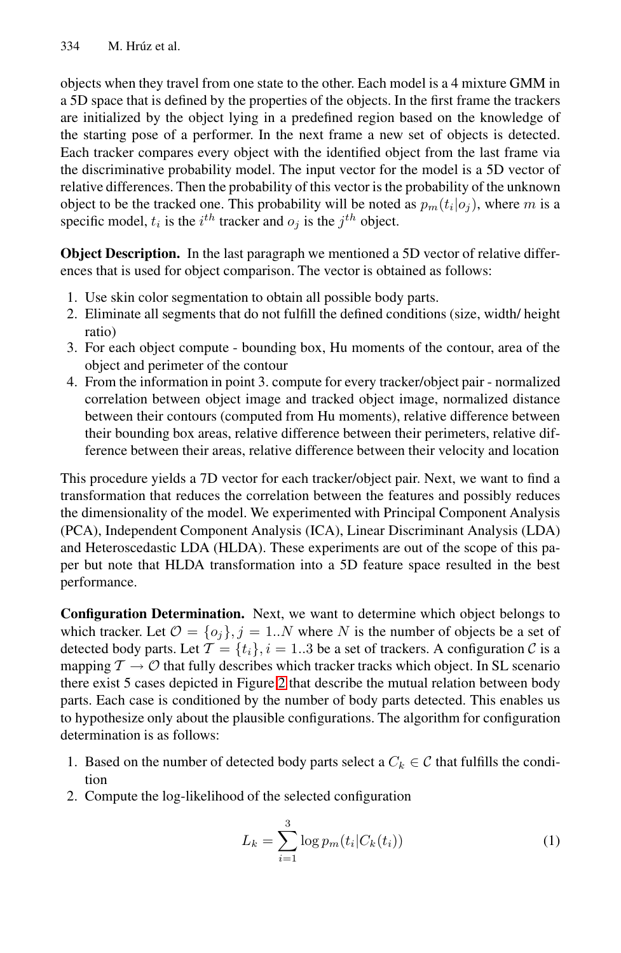objects when they travel from one state to the other. Each model is a 4 mixture GMM in a 5D space that is defined by the properties of the objects. In the first frame the trackers are initialized by the object lying in a predefined region based on the knowledge of the starting pose of a performer. In the next frame a new set of objects is detected. Each tracker compares every object with the identified object from the last frame via the discriminative probability model. The input vector for the model is a 5D vector of relative differences. Then the probability of this vector is the probability of the unknown object to be the tracked one. This probability will be noted as  $p_m(t_i|o_j)$ , where m is a specific model,  $t_i$  is the  $i^{th}$  tracker and  $o_j$  is the  $j^{th}$  object.

**Object Description.** In the last paragraph we mentioned a 5D vector of relative differences that is used for object comparison. The vector is obtained as follows:

- 1. Use skin color segmentation to obtain all possible body parts.
- 2. Eliminate all segments that do not fulfill the defined conditions (size, width/ height ratio)
- 3. For each object compute bounding box, Hu moments of the contour, area of the object and perimeter of the contour
- 4. From the information in point 3. compute for every tracker/object pair normalized correlation between object image and tracked object image, normalized distance between their contours (computed from Hu moments), relative difference between their bounding box areas, relative difference between their perimeters, relative difference between their areas, relative difference between their velocity and location

This procedure yields a 7D vector for each tracker/object pair. Next, we want to find a transformation that reduces the correlation between the features and possibly reduces the dimensionality of the model. We experimented with Principal Component Analysis (PCA), Independent Component Analysis (ICA), Linear Discriminant Analysis (LDA) and Heteroscedastic LDA (HLDA). These experiments are out of the scope of this paper but note that HLDA transformation into a 5D feature space resulted in the best performance.

**Configuration Determination.** Next, we want to determine which object belongs to which tracker. Let  $\mathcal{O} = \{o_i\}$ ,  $j = 1..N$  where N is the number of objects be a set of detected body parts. Let  $\mathcal{T} = \{t_i\}$ ,  $i = 1..3$  be a set of trackers. A configuration  $\mathcal{C}$  is a mapping  $\mathcal{T} \to \mathcal{O}$  that fully describes which tracker tracks which object. In SL scenario there exist 5 cases depicted in Figure [2](#page-4-0) that describe the mutual relation between body parts. Each case is conditioned by the number of body parts detected. This enables us to hypothesize only about the plausible configurations. The algorithm for configuration determination is as follows:

- 1. Based on the number of detected body parts select a  $C_k \in \mathcal{C}$  that fulfills the condition
- <span id="page-3-0"></span>2. Compute the log-likelihood of the selected configuration

$$
L_k = \sum_{i=1}^{3} \log p_m(t_i | C_k(t_i))
$$
 (1)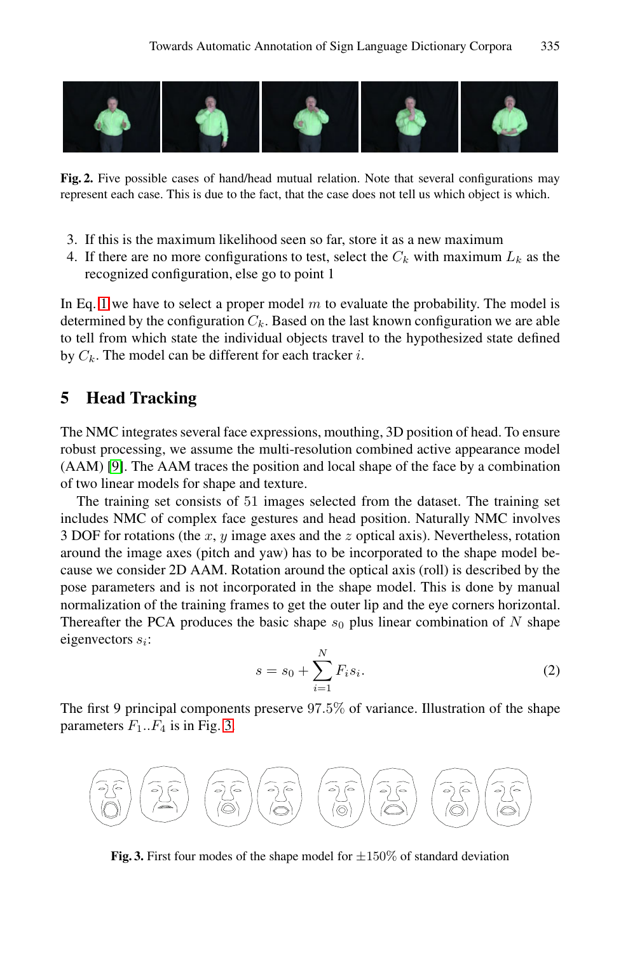

**Fig. 2.** Five possible cases of hand/head mutual relation. Note that several configurations may represent each case. This is due to the fact, that the case does not tell us which object is which.

- <span id="page-4-0"></span>3. If this is the maximum likelihood seen so far, store it as a new maximum
- 4. If there are no more configurations to test, select the  $C_k$  with maximum  $L_k$  as the recognized configuration, else go to point 1

In Eq. [1](#page-3-0) we have to select a proper model m to evaluate the probability. The model is determined by the configuration  $C_k$ . Based on the last known configuration we are able to tell from which state the individual objects travel to the hypothesized state defined by  $C_k$ . The model can be different for each tracker i.

#### <span id="page-4-2"></span>**5 Head Tracking**

The NMC integrates several face expressions, mouthing, 3D position of head. To ensure robust processing, we assume the multi-resolution combined active appearance model (AAM) [\[9\]](#page-8-2). The AAM traces the position and local shape of the face by a combination of two linear models for shape and texture.

The training set consists of 51 images selected from the dataset. The training set includes NMC of complex face gestures and head position. Naturally NMC involves 3 DOF for rotations (the x, y image axes and the z optical axis). Nevertheless, rotation around the image axes (pitch and yaw) has to be incorporated to the shape model because we consider 2D AAM. Rotation around the optical axis (roll) is described by the pose parameters and is not incorporated in the shape model. This is done by manual normalization of the training frames to get the outer lip and the eye corners horizontal. Thereafter the PCA produces the basic shape  $s_0$  plus linear combination of N shape eigenvectors s*i*:

<span id="page-4-3"></span>
$$
s = s_0 + \sum_{i=1}^{N} F_i s_i.
$$
 (2)

The first 9 principal components preserve 97.5% of variance. Illustration of the shape parameters  $F_1 \dots F_4$  is in Fig. [3.](#page-4-1)



<span id="page-4-1"></span>**Fig. 3.** First four modes of the shape model for *±*150% of standard deviation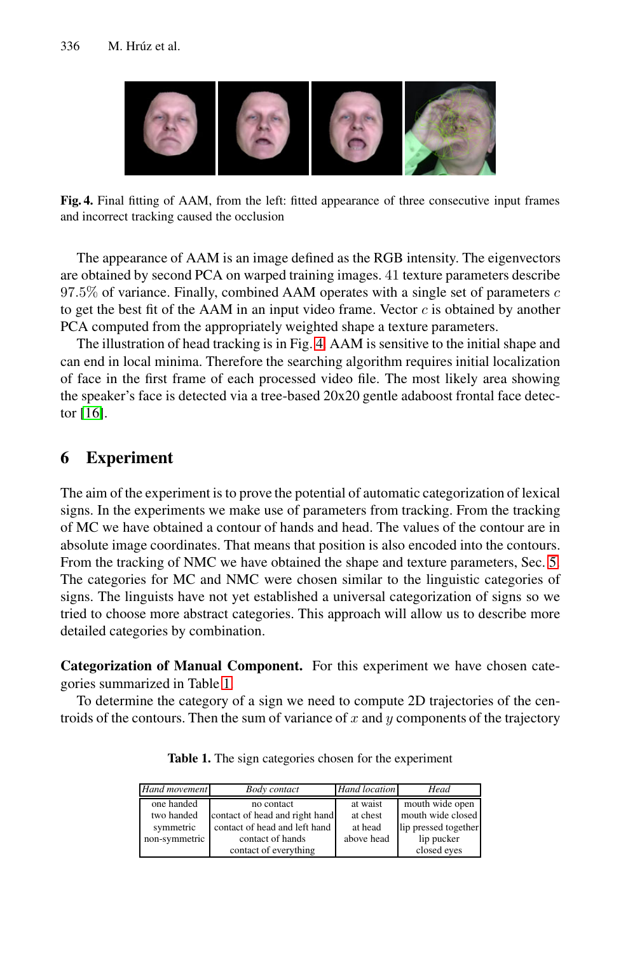

**Fig. 4.** Final fitting of AAM, from the left: fitted appearance of three consecutive input frames and incorrect tracking caused the occlusion

<span id="page-5-0"></span>The appearance of AAM is an image defined as the RGB intensity. The eigenvectors are obtained by second PCA on warped training images. 41 texture parameters describe 97.5% of variance. Finally, combined AAM operates with a single set of parameters  $c$ to get the best fit of the AAM in an input video frame. Vector  $c$  is obtained by another PCA computed from the appropriately weighted shape a texture parameters.

The illustration of head tracking is in Fig. [4.](#page-5-0) AAM is sensitive to the initial shape and can end in local minima. Therefore the searching algorithm requires initial localization of face in the first frame of each processed video file. The most likely area showing the speaker's face is detected via a tree-based 20x20 gentle adaboost frontal face detector [\[16\]](#page-8-9).

### **6 Experiment**

The aim of the experiment is to prove the potential of automatic categorization of lexical signs. In the experiments we make use of parameters from tracking. From the tracking of MC we have obtained a contour of hands and head. The values of the contour are in absolute image coordinates. That means that position is also encoded into the contours. From the tracking of NMC we have obtained the shape and texture parameters, Sec. [5.](#page-4-2) The categories for MC and NMC were chosen similar to the linguistic categories of signs. The linguists have not yet established a universal categorization of signs so we tried to choose more abstract categories. This approach will allow us to describe more detailed categories by combination.

**Categorization of Manual Component.** For this experiment we have chosen categories summarized in Table [1.](#page-5-1)

To determine the category of a sign we need to compute 2D trajectories of the centroids of the contours. Then the sum of variance of x and y components of the trajectory

| Hand movement | <b>Body</b> contact            | <b>Hand</b> location | Head                 |
|---------------|--------------------------------|----------------------|----------------------|
| one handed    | no contact                     | at waist             | mouth wide open      |
| two handed    | contact of head and right hand | at chest             | mouth wide closed    |
| symmetric     | contact of head and left hand  | at head              | lip pressed together |
| non-symmetric | contact of hands               | above head           | lip pucker           |
|               | contact of everything          |                      | closed eyes          |

<span id="page-5-1"></span>**Table 1.** The sign categories chosen for the experiment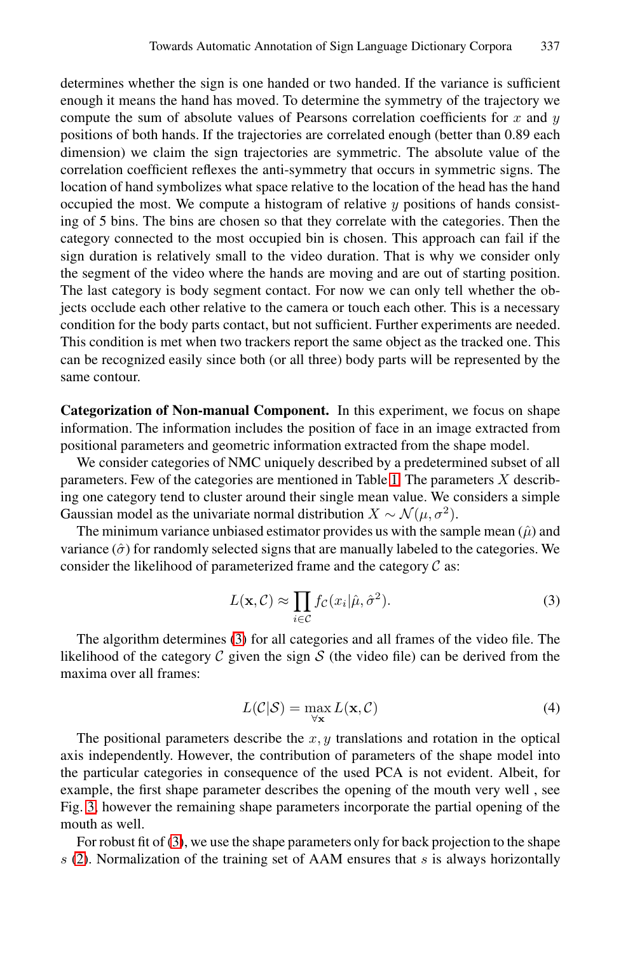determines whether the sign is one handed or two handed. If the variance is sufficient enough it means the hand has moved. To determine the symmetry of the trajectory we compute the sum of absolute values of Pearsons correlation coefficients for  $x$  and  $y$ positions of both hands. If the trajectories are correlated enough (better than 0.89 each dimension) we claim the sign trajectories are symmetric. The absolute value of the correlation coefficient reflexes the anti-symmetry that occurs in symmetric signs. The location of hand symbolizes what space relative to the location of the head has the hand occupied the most. We compute a histogram of relative  $y$  positions of hands consisting of 5 bins. The bins are chosen so that they correlate with the categories. Then the category connected to the most occupied bin is chosen. This approach can fail if the sign duration is relatively small to the video duration. That is why we consider only the segment of the video where the hands are moving and are out of starting position. The last category is body segment contact. For now we can only tell whether the objects occlude each other relative to the camera or touch each other. This is a necessary condition for the body parts contact, but not sufficient. Further experiments are needed. This condition is met when two trackers report the same object as the tracked one. This can be recognized easily since both (or all three) body parts will be represented by the same contour.

**Categorization of Non-manual Component.** In this experiment, we focus on shape information. The information includes the position of face in an image extracted from positional parameters and geometric information extracted from the shape model.

We consider categories of NMC uniquely described by a predetermined subset of all parameters. Few of the categories are mentioned in Table [1.](#page-5-1) The parameters  $X$  describing one category tend to cluster around their single mean value. We considers a simple Gaussian model as the univariate normal distribution  $X \sim \mathcal{N}(\mu, \sigma^2)$ .

<span id="page-6-0"></span>The minimum variance unbiased estimator provides us with the sample mean  $(\hat{\mu})$  and variance  $(\hat{\sigma})$  for randomly selected signs that are manually labeled to the categories. We consider the likelihood of parameterized frame and the category  $\mathcal C$  as:

$$
L(\mathbf{x}, C) \approx \prod_{i \in C} f_C(x_i | \hat{\mu}, \hat{\sigma}^2).
$$
 (3)

The algorithm determines [\(3\)](#page-6-0) for all categories and all frames of the video file. The likelihood of the category  $\mathcal C$  given the sign  $\mathcal S$  (the video file) can be derived from the maxima over all frames:

$$
L(\mathcal{C}|\mathcal{S}) = \max_{\forall \mathbf{x}} L(\mathbf{x}, \mathcal{C})
$$
 (4)

The positional parameters describe the  $x, y$  translations and rotation in the optical axis independently. However, the contribution of parameters of the shape model into the particular categories in consequence of the used PCA is not evident. Albeit, for example, the first shape parameter describes the opening of the mouth very well , see Fig. [3,](#page-4-1) however the remaining shape parameters incorporate the partial opening of the mouth as well.

For robust fit of [\(3\)](#page-6-0), we use the shape parameters only for back projection to the shape  $s$  [\(2\)](#page-4-3). Normalization of the training set of AAM ensures that  $s$  is always horizontally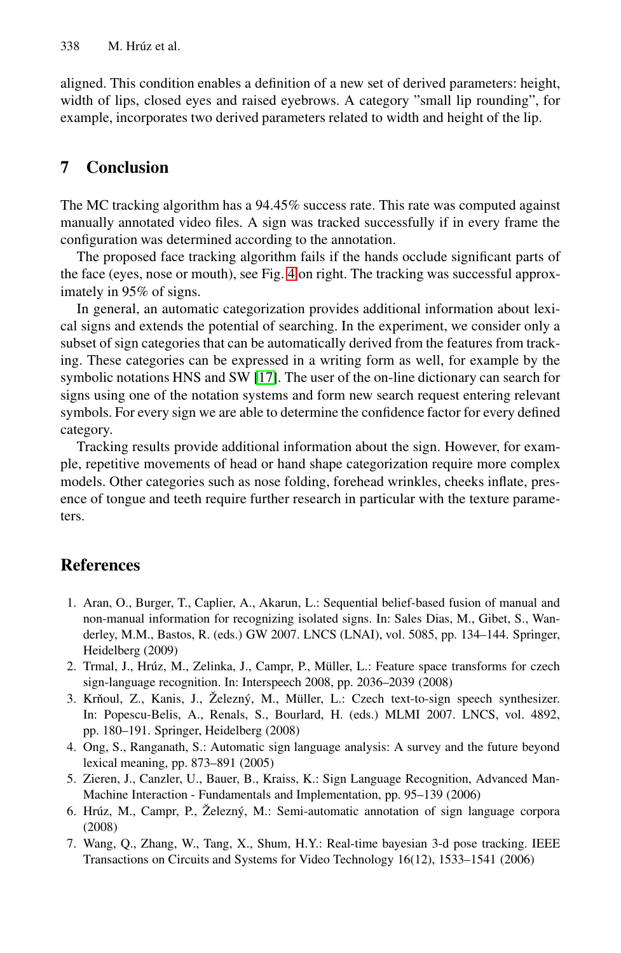aligned. This condition enables a definition of a new set of derived parameters: height, width of lips, closed eyes and raised eyebrows. A category "small lip rounding", for example, incorporates two derived parameters related to width and height of the lip.

## **7 Conclusion**

The MC tracking algorithm has a 94.45% success rate. This rate was computed against manually annotated video files. A sign was tracked successfully if in every frame the configuration was determined according to the annotation.

The proposed face tracking algorithm fails if the hands occlude significant parts of the face (eyes, nose or mouth), see Fig. [4](#page-5-0) on right. The tracking was successful approximately in 95% of signs.

In general, an automatic categorization provides additional information about lexical signs and extends the potential of searching. In the experiment, we consider only a subset of sign categories that can be automatically derived from the features from tracking. These categories can be expressed in a writing form as well, for example by the symbolic notations HNS and SW [\[17\]](#page-8-10). The user of the on-line dictionary can search for signs using one of the notation systems and form new search request entering relevant symbols. For every sign we are able to determine the confidence factor for every defined category.

Tracking results provide additional information about the sign. However, for example, repetitive movements of head or hand shape categorization require more complex models. Other categories such as nose folding, forehead wrinkles, cheeks inflate, presence of tongue and teeth require further research in particular with the texture parameters.

### **References**

- <span id="page-7-0"></span>1. Aran, O., Burger, T., Caplier, A., Akarun, L.: Sequential belief-based fusion of manual and non-manual information for recognizing isolated signs. In: Sales Dias, M., Gibet, S., Wanderley, M.M., Bastos, R. (eds.) GW 2007. LNCS (LNAI), vol. 5085, pp. 134–144. Springer, Heidelberg (2009)
- <span id="page-7-1"></span>2. Trmal, J., Hrúz, M., Zelinka, J., Campr, P., Müller, L.: Feature space transforms for czech sign-language recognition. In: Interspeech 2008, pp. 2036–2039 (2008)
- <span id="page-7-2"></span>3. Krňoul, Z., Kanis, J., Železný, M., Müller, L.: Czech text-to-sign speech synthesizer. In: Popescu-Belis, A., Renals, S., Bourlard, H. (eds.) MLMI 2007. LNCS, vol. 4892, pp. 180–191. Springer, Heidelberg (2008)
- <span id="page-7-3"></span>4. Ong, S., Ranganath, S.: Automatic sign language analysis: A survey and the future beyond lexical meaning, pp. 873–891 (2005)
- <span id="page-7-4"></span>5. Zieren, J., Canzler, U., Bauer, B., Kraiss, K.: Sign Language Recognition, Advanced Man-Machine Interaction - Fundamentals and Implementation, pp. 95–139 (2006)
- <span id="page-7-5"></span>6. Hrúz, M., Campr, P., Železný, M.: Semi-automatic annotation of sign language corpora (2008)
- <span id="page-7-6"></span>7. Wang, Q., Zhang, W., Tang, X., Shum, H.Y.: Real-time bayesian 3-d pose tracking. IEEE Transactions on Circuits and Systems for Video Technology 16(12), 1533–1541 (2006)